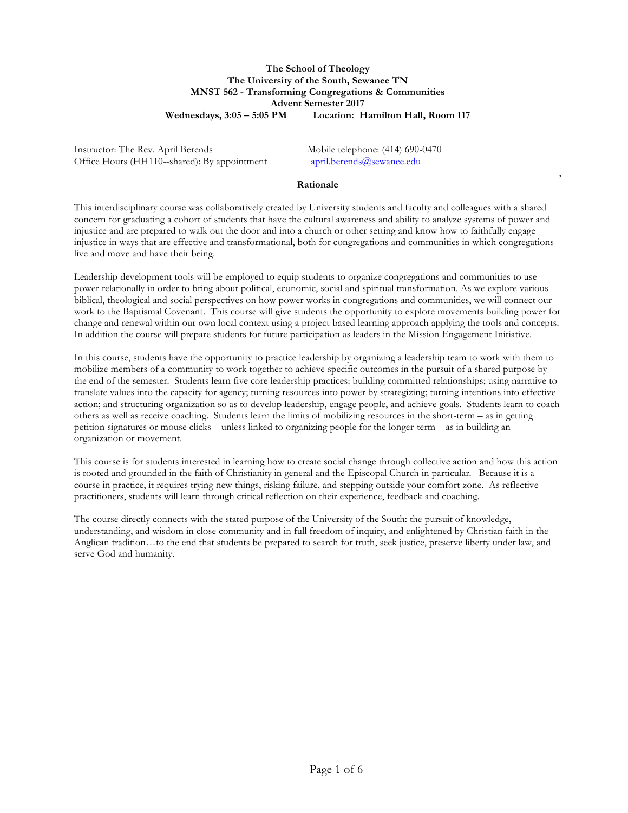# **The School of Theology The University of the South, Sewanee TN MNST 562 - Transforming Congregations & Communities Advent Semester 2017 Wednesdays, 3:05 – 5:05 PM Location: Hamilton Hall, Room 117**

Instructor: The Rev. April Berends Mobile telephone: (414) 690-0470 Office Hours (HH110--shared): By appointment april.berends@sewanee.edu

,

### **Rationale**

This interdisciplinary course was collaboratively created by University students and faculty and colleagues with a shared concern for graduating a cohort of students that have the cultural awareness and ability to analyze systems of power and injustice and are prepared to walk out the door and into a church or other setting and know how to faithfully engage injustice in ways that are effective and transformational, both for congregations and communities in which congregations live and move and have their being.

Leadership development tools will be employed to equip students to organize congregations and communities to use power relationally in order to bring about political, economic, social and spiritual transformation. As we explore various biblical, theological and social perspectives on how power works in congregations and communities, we will connect our work to the Baptismal Covenant. This course will give students the opportunity to explore movements building power for change and renewal within our own local context using a project-based learning approach applying the tools and concepts. In addition the course will prepare students for future participation as leaders in the Mission Engagement Initiative.

In this course, students have the opportunity to practice leadership by organizing a leadership team to work with them to mobilize members of a community to work together to achieve specific outcomes in the pursuit of a shared purpose by the end of the semester. Students learn five core leadership practices: building committed relationships; using narrative to translate values into the capacity for agency; turning resources into power by strategizing; turning intentions into effective action; and structuring organization so as to develop leadership, engage people, and achieve goals. Students learn to coach others as well as receive coaching. Students learn the limits of mobilizing resources in the short-term – as in getting petition signatures or mouse clicks – unless linked to organizing people for the longer-term – as in building an organization or movement.

This course is for students interested in learning how to create social change through collective action and how this action is rooted and grounded in the faith of Christianity in general and the Episcopal Church in particular. Because it is a course in practice, it requires trying new things, risking failure, and stepping outside your comfort zone. As reflective practitioners, students will learn through critical reflection on their experience, feedback and coaching.

The course directly connects with the stated purpose of the University of the South: the pursuit of knowledge, understanding, and wisdom in close community and in full freedom of inquiry, and enlightened by Christian faith in the Anglican tradition…to the end that students be prepared to search for truth, seek justice, preserve liberty under law, and serve God and humanity.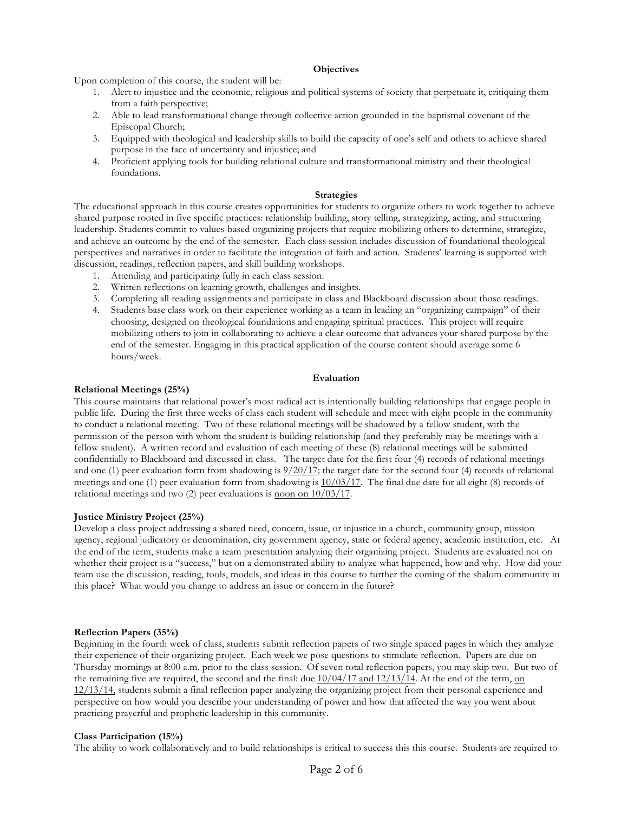### **Objectives**

Upon completion of this course, the student will be:

- 1. Alert to injustice and the economic, religious and political systems of society that perpetuate it, critiquing them from a faith perspective;
- 2. Able to lead transformational change through collective action grounded in the baptismal covenant of the Episcopal Church;
- 3. Equipped with theological and leadership skills to build the capacity of one's self and others to achieve shared purpose in the face of uncertainty and injustice; and
- 4. Proficient applying tools for building relational culture and transformational ministry and their theological foundations.

#### **Strategies**

The educational approach in this course creates opportunities for students to organize others to work together to achieve shared purpose rooted in five specific practices: relationship building, story telling, strategizing, acting, and structuring leadership. Students commit to values-based organizing projects that require mobilizing others to determine, strategize, and achieve an outcome by the end of the semester. Each class session includes discussion of foundational theological perspectives and narratives in order to facilitate the integration of faith and action. Students' learning is supported with discussion, readings, reflection papers, and skill building workshops.

- 1. Attending and participating fully in each class session.
- 2. Written reflections on learning growth, challenges and insights.
- 3. Completing all reading assignments and participate in class and Blackboard discussion about those readings.
- 4. Students base class work on their experience working as a team in leading an "organizing campaign" of their choosing, designed on theological foundations and engaging spiritual practices. This project will require mobilizing others to join in collaborating to achieve a clear outcome that advances your shared purpose by the end of the semester. Engaging in this practical application of the course content should average some 6 hours/week.

### **Evaluation**

#### **Relational Meetings (25%)**

This course maintains that relational power's most radical act is intentionally building relationships that engage people in public life. During the first three weeks of class each student will schedule and meet with eight people in the community to conduct a relational meeting. Two of these relational meetings will be shadowed by a fellow student, with the permission of the person with whom the student is building relationship (and they preferably may be meetings with a fellow student). A written record and evaluation of each meeting of these (8) relational meetings will be submitted confidentially to Blackboard and discussed in class. The target date for the first four (4) records of relational meetings and one (1) peer evaluation form from shadowing is  $\frac{9}{20/17}$ ; the target date for the second four (4) records of relational meetings and one (1) peer evaluation form from shadowing is  $\frac{10}{03/17}$ . The final due date for all eight (8) records of relational meetings and two (2) peer evaluations is noon on 10/03/17.

### **Justice Ministry Project (25%)**

Develop a class project addressing a shared need, concern, issue, or injustice in a church, community group, mission agency, regional judicatory or denomination, city government agency, state or federal agency, academic institution, etc. At the end of the term, students make a team presentation analyzing their organizing project. Students are evaluated not on whether their project is a "success," but on a demonstrated ability to analyze what happened, how and why. How did your team use the discussion, reading, tools, models, and ideas in this course to further the coming of the shalom community in this place? What would you change to address an issue or concern in the future?

### **Reflection Papers (35%)**

Beginning in the fourth week of class, students submit reflection papers of two single spaced pages in which they analyze their experience of their organizing project. Each week we pose questions to stimulate reflection. Papers are due on Thursday mornings at 8:00 a.m. prior to the class session. Of seven total reflection papers, you may skip two. But two of the remaining five are required, the second and the final: due  $10/04/17$  and  $12/13/14$ . At the end of the term, on 12/13/14, students submit a final reflection paper analyzing the organizing project from their personal experience and perspective on how would you describe your understanding of power and how that affected the way you went about practicing prayerful and prophetic leadership in this community.

#### **Class Participation (15%)**

The ability to work collaboratively and to build relationships is critical to success this this course. Students are required to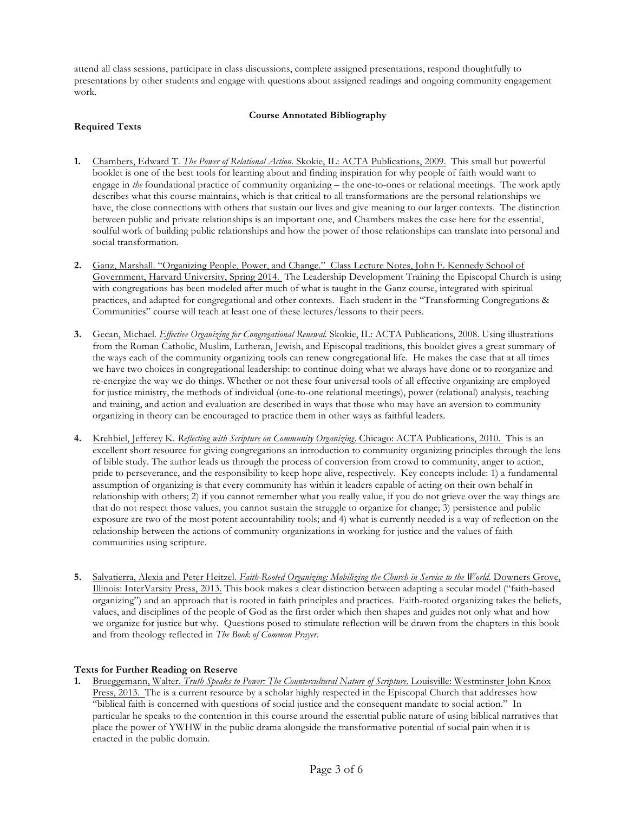attend all class sessions, participate in class discussions, complete assigned presentations, respond thoughtfully to presentations by other students and engage with questions about assigned readings and ongoing community engagement work.

### **Course Annotated Bibliography**

# **Required Texts**

- **1.** Chambers, Edward T. *The Power of Relational Action.* Skokie, IL: ACTA Publications, 2009. This small but powerful booklet is one of the best tools for learning about and finding inspiration for why people of faith would want to engage in *the* foundational practice of community organizing – the one-to-ones or relational meetings. The work aptly describes what this course maintains, which is that critical to all transformations are the personal relationships we have, the close connections with others that sustain our lives and give meaning to our larger contexts. The distinction between public and private relationships is an important one, and Chambers makes the case here for the essential, soulful work of building public relationships and how the power of those relationships can translate into personal and social transformation.
- **2.** Ganz, Marshall. "Organizing People, Power, and Change." Class Lecture Notes, John F. Kennedy School of Government, Harvard University, Spring 2014. The Leadership Development Training the Episcopal Church is using with congregations has been modeled after much of what is taught in the Ganz course, integrated with spiritual practices, and adapted for congregational and other contexts. Each student in the "Transforming Congregations & Communities" course will teach at least one of these lectures/lessons to their peers.
- **3.** Gecan, Michael. *Effective Organizing for Congregational Renewal.* Skokie, IL: ACTA Publications, 2008. Using illustrations from the Roman Catholic, Muslim, Lutheran, Jewish, and Episcopal traditions, this booklet gives a great summary of the ways each of the community organizing tools can renew congregational life. He makes the case that at all times we have two choices in congregational leadership: to continue doing what we always have done or to reorganize and re-energize the way we do things. Whether or not these four universal tools of all effective organizing are employed for justice ministry, the methods of individual (one-to-one relational meetings), power (relational) analysis, teaching and training, and action and evaluation are described in ways that those who may have an aversion to community organizing in theory can be encouraged to practice them in other ways as faithful leaders.
- **4.** Krehbiel, Jefferey K. *Reflecting with Scripture on Community Organizing*. Chicago: ACTA Publications, 2010. This is an excellent short resource for giving congregations an introduction to community organizing principles through the lens of bible study. The author leads us through the process of conversion from crowd to community, anger to action, pride to perseverance, and the responsibility to keep hope alive, respectively. Key concepts include: 1) a fundamental assumption of organizing is that every community has within it leaders capable of acting on their own behalf in relationship with others; 2) if you cannot remember what you really value, if you do not grieve over the way things are that do not respect those values, you cannot sustain the struggle to organize for change; 3) persistence and public exposure are two of the most potent accountability tools; and 4) what is currently needed is a way of reflection on the relationship between the actions of community organizations in working for justice and the values of faith communities using scripture.
- 5. Salvatierra, Alexia and Peter Heitzel. Faith-Rooted Organizing: Mobilizing the Church in Service to the World. Downers Grove, Illinois: InterVarsity Press, 2013. This book makes a clear distinction between adapting a secular model ("faith-based organizing") and an approach that is rooted in faith principles and practices. Faith-rooted organizing takes the beliefs, values, and disciplines of the people of God as the first order which then shapes and guides not only what and how we organize for justice but why. Questions posed to stimulate reflection will be drawn from the chapters in this book and from theology reflected in *The Book of Common Prayer*.

# **Texts for Further Reading on Reserve**

**1.** Brueggemann, Walter. *Truth Speaks to Power: The Countercultural Nature of Scripture*. Louisville: Westminster John Knox Press, 2013. The is a current resource by a scholar highly respected in the Episcopal Church that addresses how "biblical faith is concerned with questions of social justice and the consequent mandate to social action." In particular he speaks to the contention in this course around the essential public nature of using biblical narratives that place the power of YWHW in the public drama alongside the transformative potential of social pain when it is enacted in the public domain.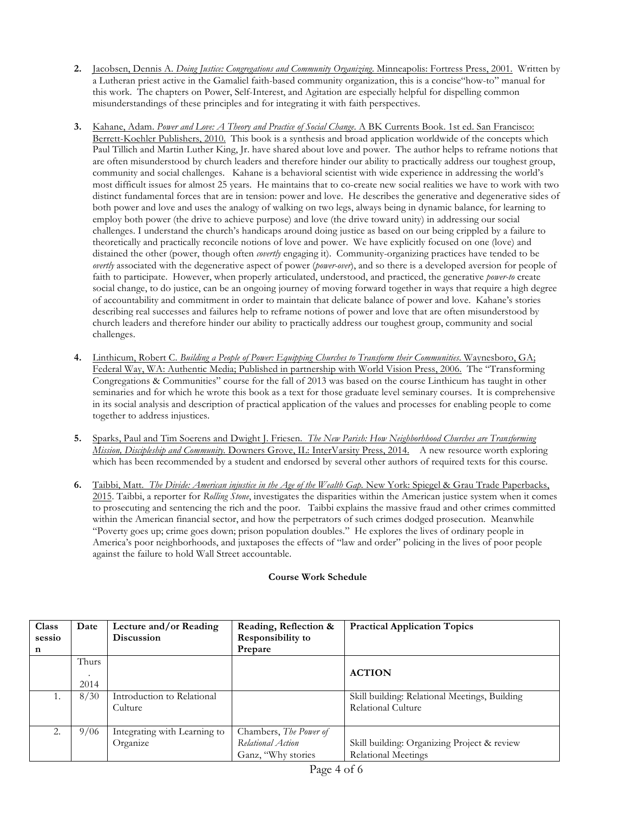- **2.** Jacobsen, Dennis A. *Doing Justice: Congregations and Community Organizing*. Minneapolis: Fortress Press, 2001. Written by a Lutheran priest active in the Gamaliel faith-based community organization, this is a concise"how-to" manual for this work. The chapters on Power, Self-Interest, and Agitation are especially helpful for dispelling common misunderstandings of these principles and for integrating it with faith perspectives.
- **3.** Kahane, Adam. *Power and Love: A Theory and Practice of Social Change*. A BK Currents Book. 1st ed. San Francisco: Berrett-Koehler Publishers, 2010. This book is a synthesis and broad application worldwide of the concepts which Paul Tillich and Martin Luther King, Jr. have shared about love and power. The author helps to reframe notions that are often misunderstood by church leaders and therefore hinder our ability to practically address our toughest group, community and social challenges. Kahane is a behavioral scientist with wide experience in addressing the world's most difficult issues for almost 25 years. He maintains that to co-create new social realities we have to work with two distinct fundamental forces that are in tension: power and love. He describes the generative and degenerative sides of both power and love and uses the analogy of walking on two legs, always being in dynamic balance, for learning to employ both power (the drive to achieve purpose) and love (the drive toward unity) in addressing our social challenges. I understand the church's handicaps around doing justice as based on our being crippled by a failure to theoretically and practically reconcile notions of love and power. We have explicitly focused on one (love) and distained the other (power, though often *covertly* engaging it). Community-organizing practices have tended to be *overtly* associated with the degenerative aspect of power (*power-over*), and so there is a developed aversion for people of faith to participate. However, when properly articulated, understood, and practiced, the generative *power-to* create social change, to do justice, can be an ongoing journey of moving forward together in ways that require a high degree of accountability and commitment in order to maintain that delicate balance of power and love. Kahane's stories describing real successes and failures help to reframe notions of power and love that are often misunderstood by church leaders and therefore hinder our ability to practically address our toughest group, community and social challenges.
- **4.** Linthicum, Robert C. *Building a People of Power: Equipping Churches to Transform their Communities*. Waynesboro, GA; Federal Way, WA: Authentic Media; Published in partnership with World Vision Press, 2006. The "Transforming Congregations & Communities" course for the fall of 2013 was based on the course Linthicum has taught in other seminaries and for which he wrote this book as a text for those graduate level seminary courses. It is comprehensive in its social analysis and description of practical application of the values and processes for enabling people to come together to address injustices.
- **5.** Sparks, Paul and Tim Soerens and Dwight J. Friesen. *The New Parish: How Neighborhhood Churches are Transforming Mission, Discipleship and Community.* Downers Grove, IL: InterVarsity Press, 2014. A new resource worth exploring which has been recommended by a student and endorsed by several other authors of required texts for this course.
- **6.** Taibbi, Matt. *The Divide: American injustice in the Age of the Wealth Gap.* New York: Spiegel & Grau Trade Paperbacks, 2015. Taibbi, a reporter for *Rolling Stone*, investigates the disparities within the American justice system when it comes to prosecuting and sentencing the rich and the poor. Taibbi explains the massive fraud and other crimes committed within the American financial sector, and how the perpetrators of such crimes dodged prosecution. Meanwhile "Poverty goes up; crime goes down; prison population doubles." He explores the lives of ordinary people in America's poor neighborhoods, and juxtaposes the effects of "law and order" policing in the lives of poor people against the failure to hold Wall Street accountable.

# **Course Work Schedule**

| Class  | Date    | Lecture and/or Reading       | Reading, Reflection &         | <b>Practical Application Topics</b>           |
|--------|---------|------------------------------|-------------------------------|-----------------------------------------------|
| sessio |         | <b>Discussion</b>            | <b>Responsibility to</b>      |                                               |
| n      |         |                              | Prepare                       |                                               |
|        | Thurs   |                              |                               |                                               |
|        | $\cdot$ |                              |                               | <b>ACTION</b>                                 |
|        | 2014    |                              |                               |                                               |
|        | 8/30    | Introduction to Relational   |                               | Skill building: Relational Meetings, Building |
|        |         | Culture                      |                               | Relational Culture                            |
|        |         |                              |                               |                                               |
| 2.     | 9/06    | Integrating with Learning to | Chambers, <i>The Power of</i> |                                               |
|        |         | Organize                     | Relational Action             | Skill building: Organizing Project & review   |
|        |         |                              | Ganz, "Why stories            | Relational Meetings                           |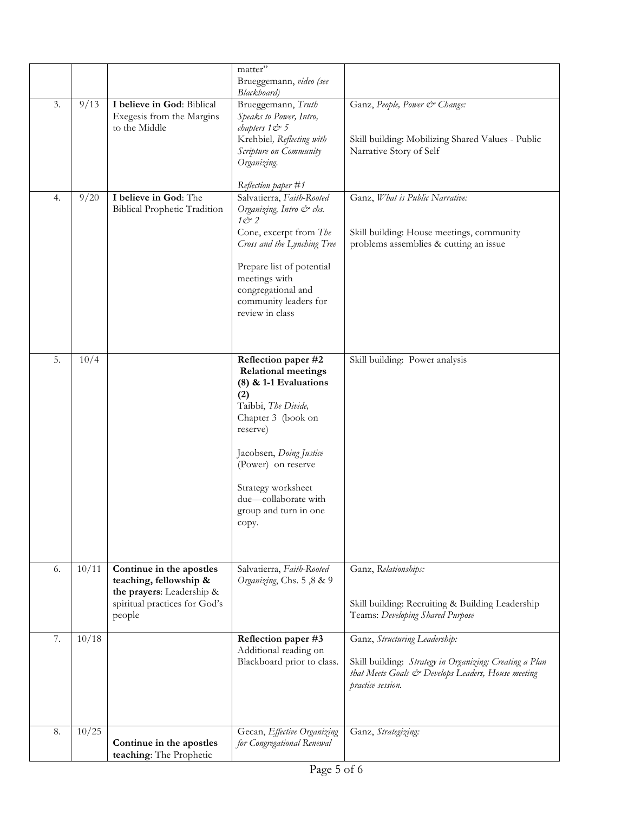|    |       |                                                                                                                            | matter"<br>Brueggemann, video (see<br>Blackboard)                                                                                                                                                                                                   |                                                                                                                                                                     |
|----|-------|----------------------------------------------------------------------------------------------------------------------------|-----------------------------------------------------------------------------------------------------------------------------------------------------------------------------------------------------------------------------------------------------|---------------------------------------------------------------------------------------------------------------------------------------------------------------------|
| 3. | 9/13  | I believe in God: Biblical<br>Exegesis from the Margins<br>to the Middle                                                   | Brueggemann, Truth<br>Speaks to Power, Intro,<br>chapters $1 \circ 5$<br>Krehbiel, Reflecting with<br>Scripture on Community<br>Organizing.                                                                                                         | Ganz, People, Power & Change:<br>Skill building: Mobilizing Shared Values - Public<br>Narrative Story of Self                                                       |
| 4. | 9/20  | I believe in God: The<br><b>Biblical Prophetic Tradition</b>                                                               | Reflection paper #1<br>Salvatierra, Faith-Rooted<br>Organizing, Intro & chs.<br>$10^{\circ}2$<br>Cone, excerpt from The<br>Cross and the Lynching Tree<br>Prepare list of potential<br>meetings with<br>congregational and<br>community leaders for | Ganz, What is Public Narrative:<br>Skill building: House meetings, community<br>problems assemblies & cutting an issue                                              |
| 5. | 10/4  |                                                                                                                            | review in class<br>Reflection paper #2<br><b>Relational meetings</b><br>$(8)$ & 1-1 Evaluations<br>(2)<br>Taibbi, The Divide,                                                                                                                       | Skill building: Power analysis                                                                                                                                      |
|    |       |                                                                                                                            | Chapter 3 (book on<br>reserve)<br>Jacobsen, Doing Justice<br>(Power) on reserve<br>Strategy worksheet<br>due-collaborate with<br>group and turn in one<br>copy.                                                                                     |                                                                                                                                                                     |
| 6. | 10/11 | Continue in the apostles<br>teaching, fellowship &<br>the prayers: Leadership &<br>spiritual practices for God's<br>people | Salvatierra, Faith-Rooted<br>Organizing, Chs. 5,8 & 9                                                                                                                                                                                               | Ganz, Relationships:<br>Skill building: Recruiting & Building Leadership<br>Teams: Developing Shared Purpose                                                        |
| 7. | 10/18 |                                                                                                                            | Reflection paper #3<br>Additional reading on<br>Blackboard prior to class.                                                                                                                                                                          | Ganz, Structuring Leadership:<br>Skill building: Strategy in Organizing: Creating a Plan<br>that Meets Goals & Develops Leaders, House meeting<br>practice session. |
| 8. | 10/25 | Continue in the apostles<br>teaching: The Prophetic                                                                        | Gecan, Effective Organizing<br>for Congregational Renewal                                                                                                                                                                                           | Ganz, Strategizing:                                                                                                                                                 |